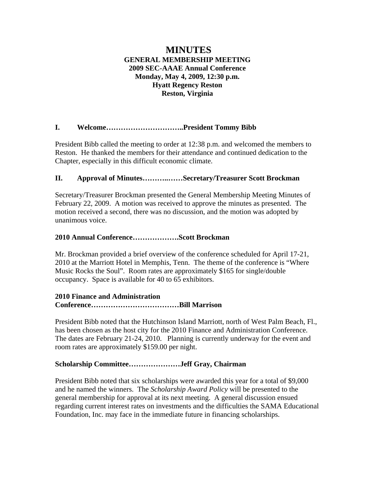# **MINUTES GENERAL MEMBERSHIP MEETING 2009 SEC-AAAE Annual Conference Monday, May 4, 2009, 12:30 p.m. Hyatt Regency Reston Reston, Virginia**

# **I. Welcome…………………………..President Tommy Bibb**

President Bibb called the meeting to order at 12:38 p.m. and welcomed the members to Reston. He thanked the members for their attendance and continued dedication to the Chapter, especially in this difficult economic climate.

## **II. Approval of Minutes………..……Secretary/Treasurer Scott Brockman**

Secretary/Treasurer Brockman presented the General Membership Meeting Minutes of February 22, 2009. A motion was received to approve the minutes as presented. The motion received a second, there was no discussion, and the motion was adopted by unanimous voice.

## **2010 Annual Conference……………….Scott Brockman**

Mr. Brockman provided a brief overview of the conference scheduled for April 17-21, 2010 at the Marriott Hotel in Memphis, Tenn. The theme of the conference is "Where Music Rocks the Soul". Room rates are approximately \$165 for single/double occupancy. Space is available for 40 to 65 exhibitors.

## **2010 Finance and Administration**

## **Conference………………………………Bill Marrison**

President Bibb noted that the Hutchinson Island Marriott, north of West Palm Beach, Fl., has been chosen as the host city for the 2010 Finance and Administration Conference. The dates are February 21-24, 2010. Planning is currently underway for the event and room rates are approximately \$159.00 per night.

## **Scholarship Committee…………………Jeff Gray, Chairman**

President Bibb noted that six scholarships were awarded this year for a total of \$9,000 and he named the winners. The *Scholarship Award Policy* will be presented to the general membership for approval at its next meeting. A general discussion ensued regarding current interest rates on investments and the difficulties the SAMA Educational Foundation, Inc. may face in the immediate future in financing scholarships.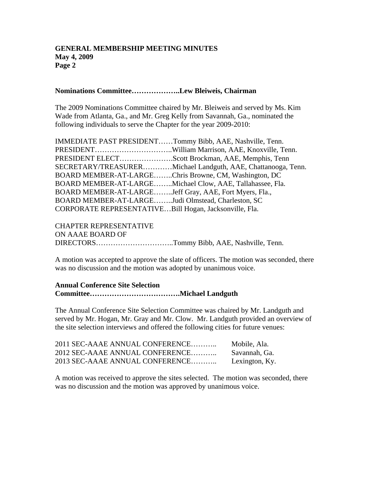### **GENERAL MEMBERSHIP MEETING MINUTES May 4, 2009 Page 2**

#### **Nominations Committee………………..Lew Bleiweis, Chairman**

The 2009 Nominations Committee chaired by Mr. Bleiweis and served by Ms. Kim Wade from Atlanta, Ga., and Mr. Greg Kelly from Savannah, Ga., nominated the following individuals to serve the Chapter for the year 2009-2010:

| IMMEDIATE PAST PRESIDENTTommy Bibb, AAE, Nashville, Tenn.    |
|--------------------------------------------------------------|
|                                                              |
| PRESIDENT ELECTScott Brockman, AAE, Memphis, Tenn            |
| SECRETARY/TREASURERMichael Landguth, AAE, Chattanooga, Tenn. |
| BOARD MEMBER-AT-LARGEChris Browne, CM, Washington, DC        |
| BOARD MEMBER-AT-LARGEMichael Clow, AAE, Tallahassee, Fla.    |
| BOARD MEMBER-AT-LARGEJeff Gray, AAE, Fort Myers, Fla.,       |
| BOARD MEMBER-AT-LARGEJudi Olmstead, Charleston, SC           |
| CORPORATE REPRESENTATIVEBill Hogan, Jacksonville, Fla.       |
|                                                              |

CHAPTER REPRESENTATIVE ON AAAE BOARD OF DIRECTORS…………………………..Tommy Bibb, AAE, Nashville, Tenn.

A motion was accepted to approve the slate of officers. The motion was seconded, there was no discussion and the motion was adopted by unanimous voice.

#### **Annual Conference Site Selection**

## **Committee……………………………….Michael Landguth**

The Annual Conference Site Selection Committee was chaired by Mr. Landguth and served by Mr. Hogan, Mr. Gray and Mr. Clow. Mr. Landguth provided an overview of the site selection interviews and offered the following cities for future venues:

| 2011 SEC-AAAE ANNUAL CONFERENCE | Mobile, Ala.   |
|---------------------------------|----------------|
| 2012 SEC-AAAE ANNUAL CONFERENCE | Savannah, Ga.  |
| 2013 SEC-AAAE ANNUAL CONFERENCE | Lexington, Ky. |

A motion was received to approve the sites selected. The motion was seconded, there was no discussion and the motion was approved by unanimous voice.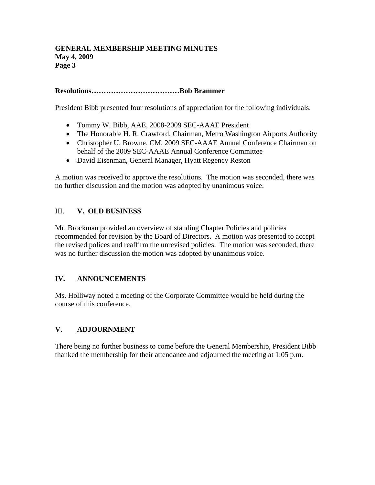### **GENERAL MEMBERSHIP MEETING MINUTES May 4, 2009 Page 3**

### **Resolutions………………………………Bob Brammer**

President Bibb presented four resolutions of appreciation for the following individuals:

- Tommy W. Bibb, AAE, 2008-2009 SEC-AAAE President
- The Honorable H. R. Crawford, Chairman, Metro Washington Airports Authority
- Christopher U. Browne, CM, 2009 SEC-AAAE Annual Conference Chairman on behalf of the 2009 SEC-AAAE Annual Conference Committee
- David Eisenman, General Manager, Hyatt Regency Reston

A motion was received to approve the resolutions. The motion was seconded, there was no further discussion and the motion was adopted by unanimous voice.

## III. **V. OLD BUSINESS**

Mr. Brockman provided an overview of standing Chapter Policies and policies recommended for revision by the Board of Directors. A motion was presented to accept the revised polices and reaffirm the unrevised policies. The motion was seconded, there was no further discussion the motion was adopted by unanimous voice.

## **IV. ANNOUNCEMENTS**

Ms. Holliway noted a meeting of the Corporate Committee would be held during the course of this conference.

## **V. ADJOURNMENT**

There being no further business to come before the General Membership, President Bibb thanked the membership for their attendance and adjourned the meeting at 1:05 p.m.